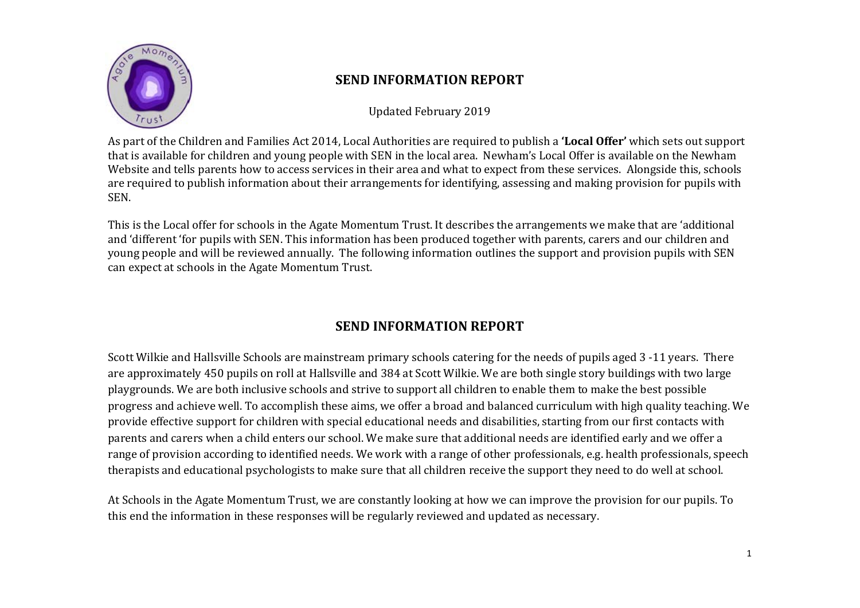

# **SEND INFORMATION REPORT**

Updated February 2019 

As part of the Children and Families Act 2014, Local Authorities are required to publish a 'Local Offer' which sets out support that is available for children and young people with SEN in the local area. Newham's Local Offer is available on the Newham Website and tells parents how to access services in their area and what to expect from these services. Alongside this, schools are required to publish information about their arrangements for identifying, assessing and making provision for pupils with SEN. 

This is the Local offer for schools in the Agate Momentum Trust. It describes the arrangements we make that are 'additional and 'different 'for pupils with SEN. This information has been produced together with parents, carers and our children and young people and will be reviewed annually. The following information outlines the support and provision pupils with SEN can expect at schools in the Agate Momentum Trust.

# **SEND INFORMATION REPORT**

Scott Wilkie and Hallsville Schools are mainstream primary schools catering for the needs of pupils aged 3 -11 years. There are approximately 450 pupils on roll at Hallsville and 384 at Scott Wilkie. We are both single story buildings with two large playgrounds. We are both inclusive schools and strive to support all children to enable them to make the best possible progress and achieve well. To accomplish these aims, we offer a broad and balanced curriculum with high quality teaching. We provide effective support for children with special educational needs and disabilities, starting from our first contacts with parents and carers when a child enters our school. We make sure that additional needs are identified early and we offer a range of provision according to identified needs. We work with a range of other professionals, e.g. health professionals, speech therapists and educational psychologists to make sure that all children receive the support they need to do well at school.

At Schools in the Agate Momentum Trust, we are constantly looking at how we can improve the provision for our pupils. To this end the information in these responses will be regularly reviewed and updated as necessary.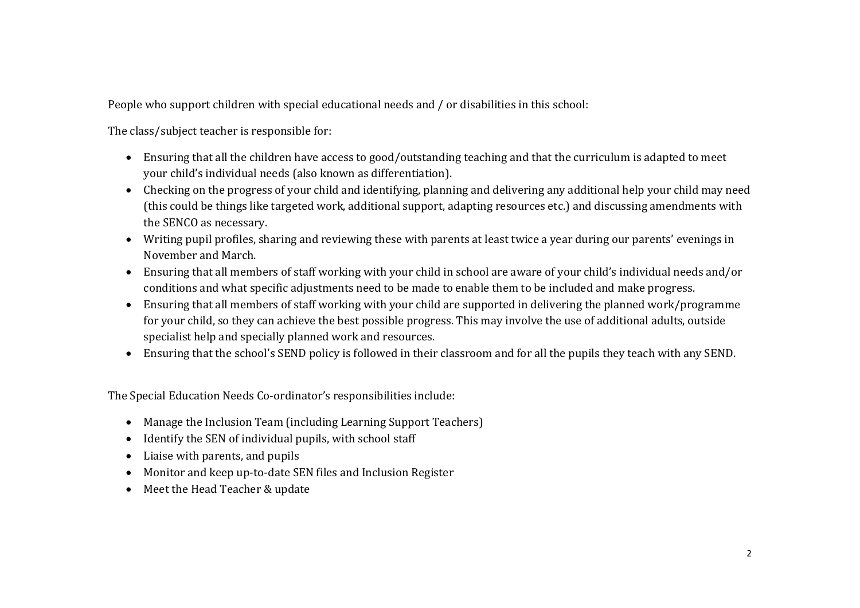People who support children with special educational needs and / or disabilities in this school:

The class/subject teacher is responsible for:

- Ensuring that all the children have access to good/outstanding teaching and that the curriculum is adapted to meet your child's individual needs (also known as differentiation).
- Checking on the progress of your child and identifying, planning and delivering any additional help your child may need (this could be things like targeted work, additional support, adapting resources etc.) and discussing amendments with the SENCO as necessary.
- Writing pupil profiles, sharing and reviewing these with parents at least twice a year during our parents' evenings in November and March.
- Ensuring that all members of staff working with your child in school are aware of your child's individual needs and/or conditions and what specific adjustments need to be made to enable them to be included and make progress.
- Ensuring that all members of staff working with your child are supported in delivering the planned work/programme for your child, so they can achieve the best possible progress. This may involve the use of additional adults, outside specialist help and specially planned work and resources.
- Ensuring that the school's SEND policy is followed in their classroom and for all the pupils they teach with any SEND.

The Special Education Needs Co-ordinator's responsibilities include:

- Manage the Inclusion Team (including Learning Support Teachers)
- Identify the SEN of individual pupils, with school staff
- Liaise with parents, and pupils
- Monitor and keep up-to-date SEN files and Inclusion Register
- Meet the Head Teacher & update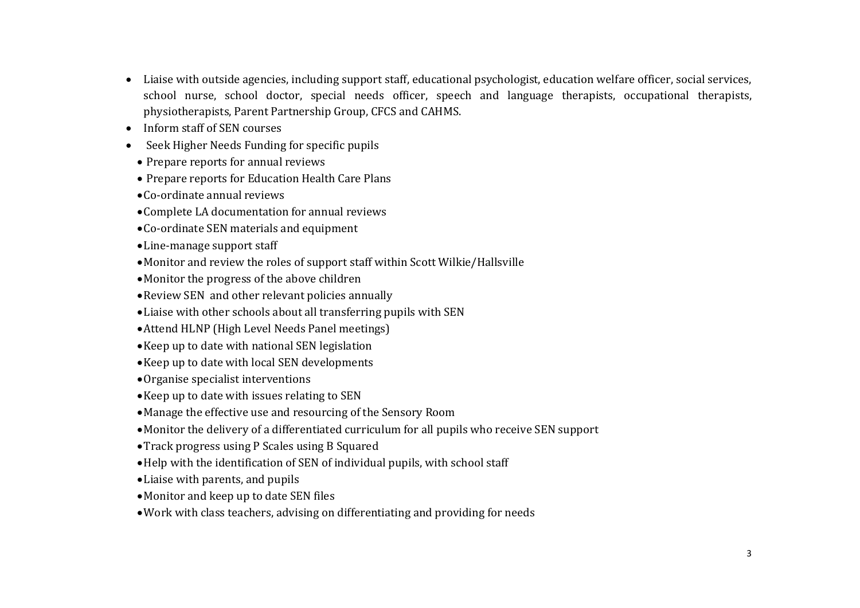- Liaise with outside agencies, including support staff, educational psychologist, education welfare officer, social services, school nurse, school doctor, special needs officer, speech and language therapists, occupational therapists, physiotherapists, Parent Partnership Group, CFCS and CAHMS.
- Inform staff of SEN courses
- Seek Higher Needs Funding for specific pupils
	- $\bullet$  Prepare reports for annual reviews
	- Prepare reports for Education Health Care Plans
	- Co-ordinate annual reviews
	- Complete LA documentation for annual reviews
	- Co-ordinate SEN materials and equipment
	- Line-manage support staff
	- Monitor and review the roles of support staff within Scott Wilkie/Hallsville
	- $\bullet$  Monitor the progress of the above children
	- Review SEN and other relevant policies annually
	- $\bullet$  Liaise with other schools about all transferring pupils with SEN
	- Attend HLNP (High Level Needs Panel meetings)
	- Keep up to date with national SEN legislation
	- Keep up to date with local SEN developments
	- Organise specialist interventions
	- Keep up to date with issues relating to SEN
	- Manage the effective use and resourcing of the Sensory Room
	- Monitor the delivery of a differentiated curriculum for all pupils who receive SEN support
	- Track progress using P Scales using B Squared
	- Help with the identification of SEN of individual pupils, with school staff
	- Liaise with parents, and pupils
	- Monitor and keep up to date SEN files
	- Work with class teachers, advising on differentiating and providing for needs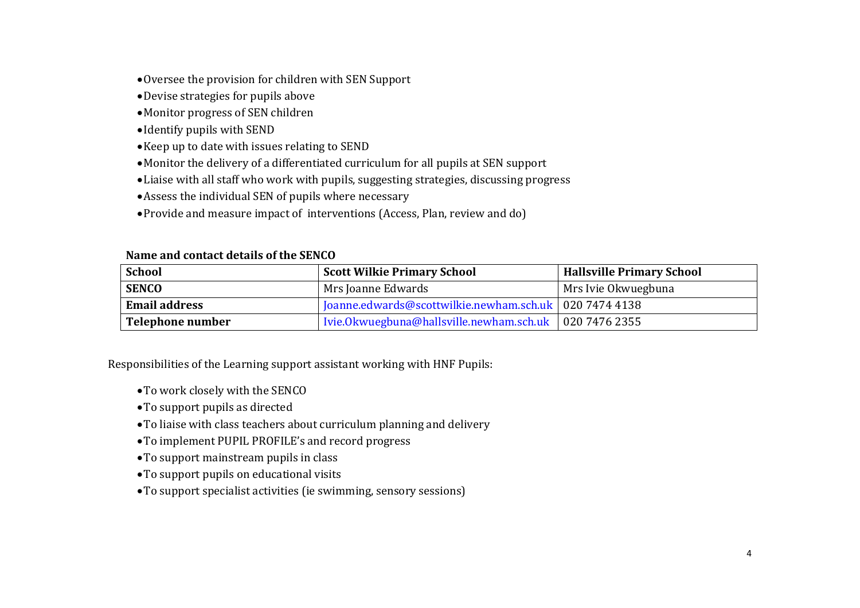- Oversee the provision for children with SEN Support
- Devise strategies for pupils above
- Monitor progress of SEN children
- Identify pupils with SEND
- Keep up to date with issues relating to SEND
- $\bullet$  Monitor the delivery of a differentiated curriculum for all pupils at SEN support
- Liaise with all staff who work with pupils, suggesting strategies, discussing progress
- $\bullet$  Assess the individual SEN of pupils where necessary
- Provide and measure impact of interventions (Access, Plan, review and do)

### **Name and contact details of the SENCO**

| <b>School</b>        | <b>Scott Wilkie Primary School</b>                       | Hallsville Primary School |
|----------------------|----------------------------------------------------------|---------------------------|
| <b>SENCO</b>         | Mrs Joanne Edwards                                       | Mrs Ivie Okwuegbuna       |
| <b>Email address</b> | Joanne.edwards@scottwilkie.newham.sch.uk   020 7474 4138 |                           |
| Telephone number     | Ivie.Okwuegbuna@hallsville.newham.sch.uk   020 7476 2355 |                           |

Responsibilities of the Learning support assistant working with HNF Pupils:

- . To work closely with the SENCO
- $\bullet$  To support pupils as directed
- To liaise with class teachers about curriculum planning and delivery
- To implement PUPIL PROFILE's and record progress
- To support mainstream pupils in class
- To support pupils on educational visits
- To support specialist activities (ie swimming, sensory sessions)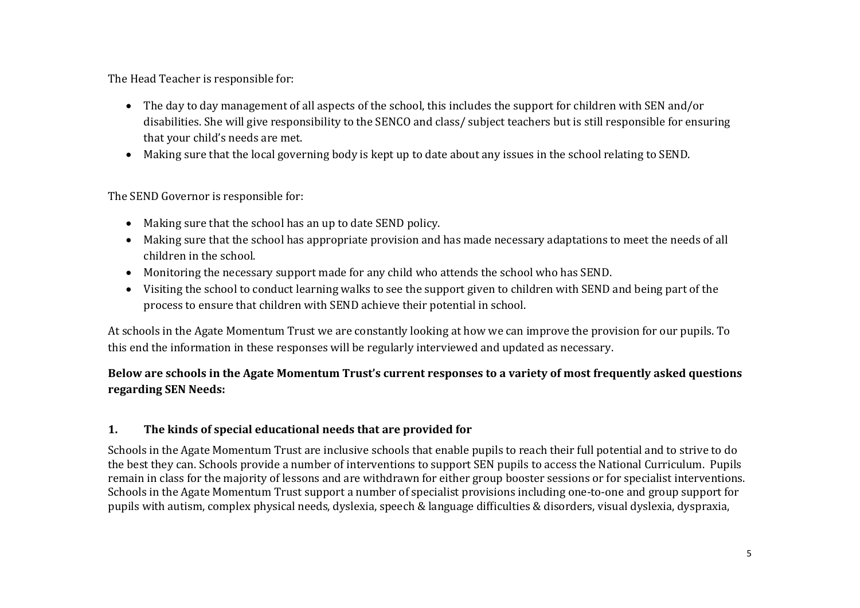The Head Teacher is responsible for:

- The day to day management of all aspects of the school, this includes the support for children with SEN and/or disabilities. She will give responsibility to the SENCO and class/ subject teachers but is still responsible for ensuring that your child's needs are met.
- Making sure that the local governing body is kept up to date about any issues in the school relating to SEND.

The SEND Governor is responsible for:

- Making sure that the school has an up to date SEND policy.
- Making sure that the school has appropriate provision and has made necessary adaptations to meet the needs of all children in the school.
- Monitoring the necessary support made for any child who attends the school who has SEND.
- Visiting the school to conduct learning walks to see the support given to children with SEND and being part of the process to ensure that children with SEND achieve their potential in school.

At schools in the Agate Momentum Trust we are constantly looking at how we can improve the provision for our pupils. To this end the information in these responses will be regularly interviewed and updated as necessary.

## Below are schools in the Agate Momentum Trust's current responses to a variety of most frequently asked questions **regarding SEN Needs:**

### **1.The kinds of special educational needs that are provided for**

Schools in the Agate Momentum Trust are inclusive schools that enable pupils to reach their full potential and to strive to do the best they can. Schools provide a number of interventions to support SEN pupils to access the National Curriculum. Pupils remain in class for the majority of lessons and are withdrawn for either group booster sessions or for specialist interventions. Schools in the Agate Momentum Trust support a number of specialist provisions including one-to-one and group support for pupils with autism, complex physical needs, dyslexia, speech & language difficulties & disorders, visual dyslexia, dyspraxia,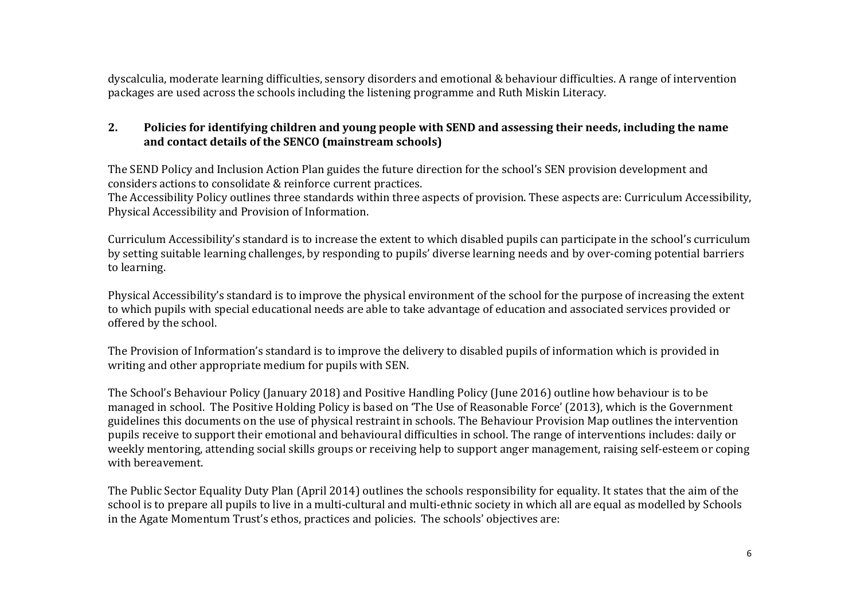dyscalculia, moderate learning difficulties, sensory disorders and emotional & behaviour difficulties. A range of intervention packages are used across the schools including the listening programme and Ruth Miskin Literacy.

### **2. Policies for identifying children and young people with SEND and assessing their needs, including the name and contact details of the SENCO (mainstream schools)**

The SEND Policy and Inclusion Action Plan guides the future direction for the school's SEN provision development and considers actions to consolidate & reinforce current practices.

The Accessibility Policy outlines three standards within three aspects of provision. These aspects are: Curriculum Accessibility, Physical Accessibility and Provision of Information.

Curriculum Accessibility's standard is to increase the extent to which disabled pupils can participate in the school's curriculum by setting suitable learning challenges, by responding to pupils' diverse learning needs and by over-coming potential barriers to learning.

Physical Accessibility's standard is to improve the physical environment of the school for the purpose of increasing the extent to which pupils with special educational needs are able to take advantage of education and associated services provided or offered by the school.

The Provision of Information's standard is to improve the delivery to disabled pupils of information which is provided in writing and other appropriate medium for pupils with SEN.

The School's Behaviour Policy (January 2018) and Positive Handling Policy (June 2016) outline how behaviour is to be managed in school. The Positive Holding Policy is based on 'The Use of Reasonable Force' (2013), which is the Government guidelines this documents on the use of physical restraint in schools. The Behaviour Provision Map outlines the intervention pupils receive to support their emotional and behavioural difficulties in school. The range of interventions includes: daily or weekly mentoring, attending social skills groups or receiving help to support anger management, raising self-esteem or coping with bereavement.

The Public Sector Equality Duty Plan (April 2014) outlines the schools responsibility for equality. It states that the aim of the school is to prepare all pupils to live in a multi-cultural and multi-ethnic society in which all are equal as modelled by Schools in the Agate Momentum Trust's ethos, practices and policies. The schools' objectives are: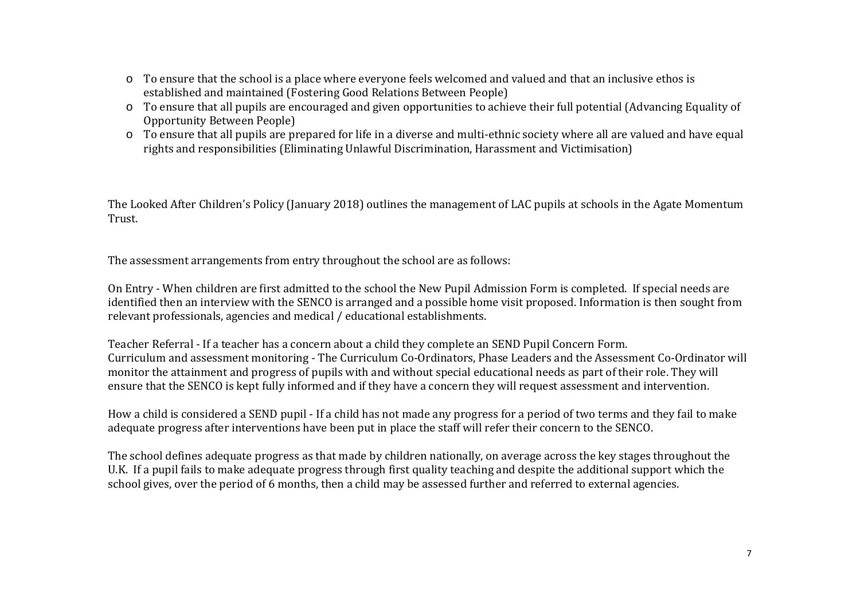- $\circ$  To ensure that the school is a place where everyone feels welcomed and valued and that an inclusive ethos is established and maintained (Fostering Good Relations Between People)
- $\circ$  To ensure that all pupils are encouraged and given opportunities to achieve their full potential (Advancing Equality of Opportunity Between People)
- To ensure that all pupils are prepared for life in a diverse and multi-ethnic society where all are valued and have equal rights and responsibilities (Eliminating Unlawful Discrimination, Harassment and Victimisation)

The Looked After Children's Policy (January 2018) outlines the management of LAC pupils at schools in the Agate Momentum Trust. 

The assessment arrangements from entry throughout the school are as follows:

On Entry - When children are first admitted to the school the New Pupil Admission Form is completed. If special needs are identified then an interview with the SENCO is arranged and a possible home visit proposed. Information is then sought from relevant professionals, agencies and medical / educational establishments.

Teacher Referral - If a teacher has a concern about a child they complete an SEND Pupil Concern Form. Curriculum and assessment monitoring - The Curriculum Co-Ordinators, Phase Leaders and the Assessment Co-Ordinator will monitor the attainment and progress of pupils with and without special educational needs as part of their role. They will ensure that the SENCO is kept fully informed and if they have a concern they will request assessment and intervention.

How a child is considered a SEND pupil - If a child has not made any progress for a period of two terms and they fail to make adequate progress after interventions have been put in place the staff will refer their concern to the SENCO.

The school defines adequate progress as that made by children nationally, on average across the key stages throughout the U.K. If a pupil fails to make adequate progress through first quality teaching and despite the additional support which the school gives, over the period of 6 months, then a child may be assessed further and referred to external agencies.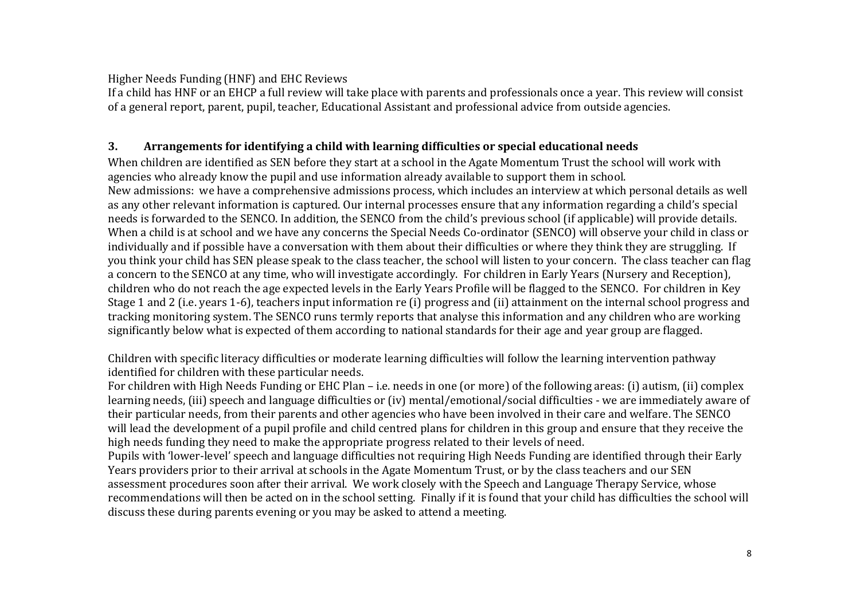Higher Needs Funding (HNF) and EHC Reviews

If a child has HNF or an EHCP a full review will take place with parents and professionals once a vear. This review will consist of a general report, parent, pupil, teacher, Educational Assistant and professional advice from outside agencies.

### **3.Arrangements for identifying <sup>a</sup> child with learning difficulties or special educational needs**

When children are identified as SEN before they start at a school in the Agate Momentum Trust the school will work with agencies who already know the pupil and use information already available to support them in school. New admissions: we have a comprehensive admissions process, which includes an interview at which personal details as well as any other relevant information is captured. Our internal processes ensure that any information regarding a child's special needs is forwarded to the SENCO. In addition, the SENCO from the child's previous school (if applicable) will provide details. When a child is at school and we have any concerns the Special Needs Co-ordinator (SENCO) will observe your child in class or individually and if possible have a conversation with them about their difficulties or where they think they are struggling. If you think your child has SEN please speak to the class teacher, the school will listen to your concern. The class teacher can flag a concern to the SENCO at any time, who will investigate accordingly. For children in Early Years (Nursery and Reception), children who do not reach the age expected levels in the Early Years Profile will be flagged to the SENCO. For children in Key Stage 1 and 2 (i.e. years 1-6), teachers input information re (i) progress and (ii) attainment on the internal school progress and tracking monitoring system. The SENCO runs termly reports that analyse this information and any children who are working significantly below what is expected of them according to national standards for their age and year group are flagged.

Children with specific literacy difficulties or moderate learning difficulties will follow the learning intervention pathway identified for children with these particular needs.

For children with High Needs Funding or EHC Plan – i.e. needs in one (or more) of the following areas: (i) autism, (ii) complex learning needs, (iii) speech and language difficulties or (iv) mental/emotional/social difficulties - we are immediately aware of their particular needs, from their parents and other agencies who have been involved in their care and welfare. The SENCO will lead the development of a pupil profile and child centred plans for children in this group and ensure that they receive the high needs funding they need to make the appropriate progress related to their levels of need.

Pupils with 'lower-level' speech and language difficulties not requiring High Needs Funding are identified through their Early Years providers prior to their arrival at schools in the Agate Momentum Trust, or by the class teachers and our SEN assessment procedures soon after their arrival. We work closely with the Speech and Language Therapy Service, whose recommendations will then be acted on in the school setting. Finally if it is found that your child has difficulties the school will discuss these during parents evening or you may be asked to attend a meeting.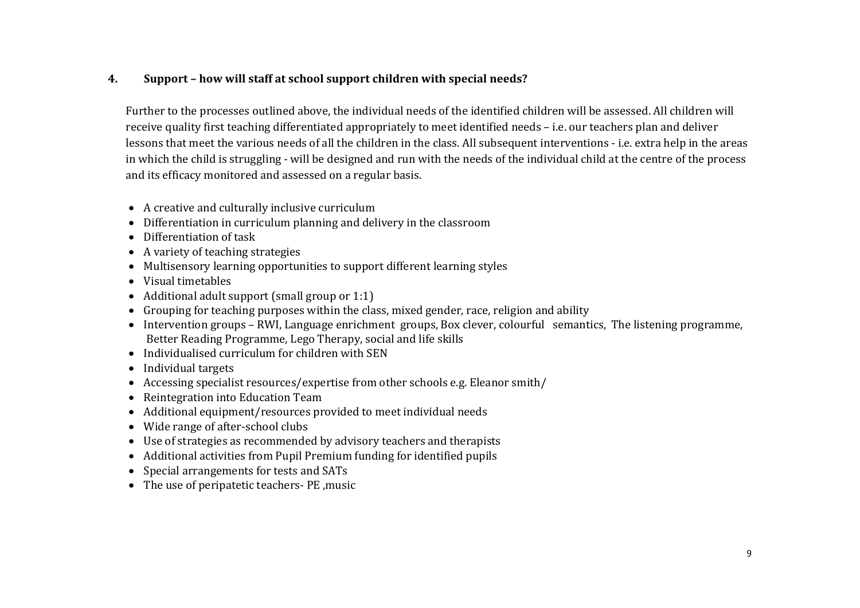#### **4.Support – how will staff at school support children with special needs?**

Further to the processes outlined above, the individual needs of the identified children will be assessed. All children will receive quality first teaching differentiated appropriately to meet identified needs – i.e. our teachers plan and deliver lessons that meet the various needs of all the children in the class. All subsequent interventions - i.e. extra help in the areas in which the child is struggling - will be designed and run with the needs of the individual child at the centre of the process and its efficacy monitored and assessed on a regular basis.

- A creative and culturally inclusive curriculum
- Differentiation in curriculum planning and delivery in the classroom
- Differentiation of task
- A variety of teaching strategies
- Multisensory learning opportunities to support different learning styles
- Visual timetables
- Additional adult support (small group or  $1:1$ )
- Grouping for teaching purposes within the class, mixed gender, race, religion and ability
- Intervention groups RWI, Language enrichment groups, Box clever, colourful semantics, The listening programme, Better Reading Programme, Lego Therapy, social and life skills
- $\bullet$  Individualised curriculum for children with SEN
- Individual targets
- Accessing specialist resources/expertise from other schools e.g. Eleanor smith/
- Reintegration into Education Team
- Additional equipment/resources provided to meet individual needs
- Wide range of after-school clubs
- Use of strategies as recommended by advisory teachers and therapists
- Additional activities from Pupil Premium funding for identified pupils
- Special arrangements for tests and SATs
- The use of peripatetic teachers- PE , music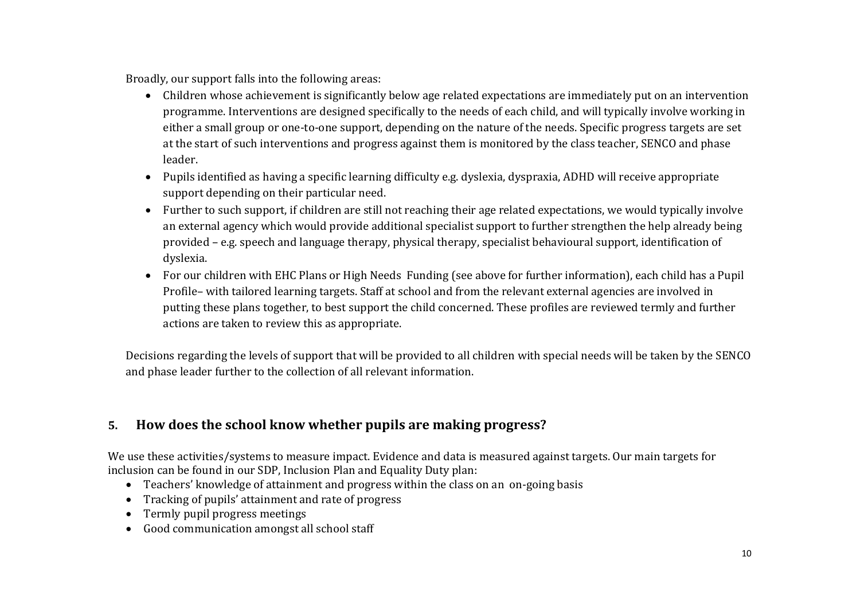Broadly, our support falls into the following areas:

- Children whose achievement is significantly below age related expectations are immediately put on an intervention programme. Interventions are designed specifically to the needs of each child, and will typically involve working in either a small group or one-to-one support, depending on the nature of the needs. Specific progress targets are set at the start of such interventions and progress against them is monitored by the class teacher, SENCO and phase leader.
- Pupils identified as having a specific learning difficulty e.g. dyslexia, dyspraxia, ADHD will receive appropriate support depending on their particular need.
- Further to such support, if children are still not reaching their age related expectations, we would typically involve an external agency which would provide additional specialist support to further strengthen the help already being provided – e.g. speech and language therapy, physical therapy, specialist behavioural support, identification of dyslexia.
- For our children with EHC Plans or High Needs Funding (see above for further information), each child has a Pupil Profile– with tailored learning targets. Staff at school and from the relevant external agencies are involved in putting these plans together, to best support the child concerned. These profiles are reviewed termly and further actions are taken to review this as appropriate.

Decisions regarding the levels of support that will be provided to all children with special needs will be taken by the SENCO and phase leader further to the collection of all relevant information.

### **5.How does the school know whether pupils are making progress?**

We use these activities/systems to measure impact. Evidence and data is measured against targets. Our main targets for inclusion can be found in our SDP, Inclusion Plan and Equality Duty plan:

- Teachers' knowledge of attainment and progress within the class on an on-going basis
- Tracking of pupils' attainment and rate of progress
- Termly pupil progress meetings
- Good communication amongst all school staff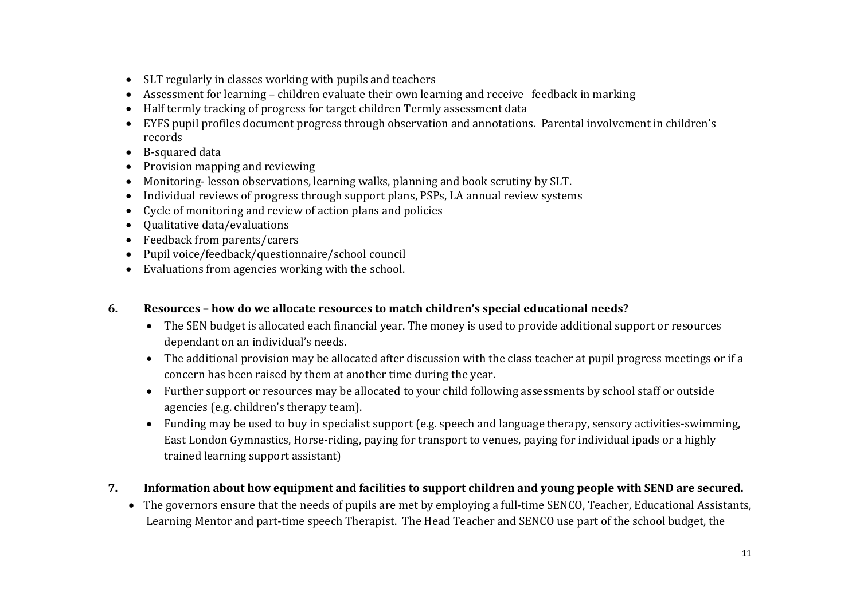- SLT regularly in classes working with pupils and teachers
- Assessment for learning children evaluate their own learning and receive feedback in marking
- Half termly tracking of progress for target children Termly assessment data
- EYFS pupil profiles document progress through observation and annotations. Parental involvement in children's records
- B-squared data
- Provision mapping and reviewing
- Monitoring- lesson observations, learning walks, planning and book scrutiny by SLT.
- Individual reviews of progress through support plans, PSPs, LA annual review systems
- Cycle of monitoring and review of action plans and policies
- Qualitative data/evaluations
- Feedback from parents/carers
- Pupil voice/feedback/questionnaire/school council
- Evaluations from agencies working with the school.
- **6. Resources – how do we allocate resources to match children's special educational needs?**
	- The SEN budget is allocated each financial year. The money is used to provide additional support or resources dependant on an individual's needs.
	- The additional provision may be allocated after discussion with the class teacher at pupil progress meetings or if a concern has been raised by them at another time during the year.
	- Further support or resources may be allocated to your child following assessments by school staff or outside agencies (e.g. children's therapy team).
	- Funding may be used to buy in specialist support (e.g. speech and language therapy, sensory activities-swimming, East London Gymnastics, Horse-riding, paying for transport to venues, paying for individual ipads or a highly trained learning support assistant)
- **7. Information about how equipment and facilities to support children and young people with SEND are secured.**
	- The governors ensure that the needs of pupils are met by employing a full-time SENCO, Teacher, Educational Assistants, Learning Mentor and part-time speech Therapist. The Head Teacher and SENCO use part of the school budget, the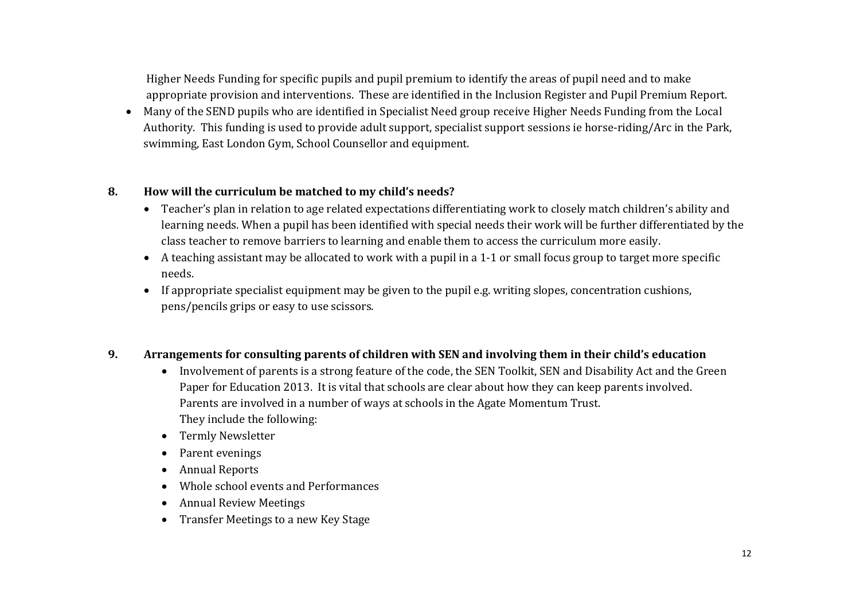Higher Needs Funding for specific pupils and pupil premium to identify the areas of pupil need and to make appropriate provision and interventions. These are identified in the Inclusion Register and Pupil Premium Report.

• Many of the SEND pupils who are identified in Specialist Need group receive Higher Needs Funding from the Local Authority. This funding is used to provide adult support, specialist support sessions ie horse-riding/Arc in the Park, swimming, East London Gym, School Counsellor and equipment.

#### **8.How will the curriculum be matched to my child's needs?**

- Teacher's plan in relation to age related expectations differentiating work to closely match children's ability and learning needs. When a pupil has been identified with special needs their work will be further differentiated by the class teacher to remove barriers to learning and enable them to access the curriculum more easily.
- A teaching assistant may be allocated to work with a pupil in a 1-1 or small focus group to target more specific needs.
- If appropriate specialist equipment may be given to the pupil e.g. writing slopes, concentration cushions, pens/pencils grips or easy to use scissors.

### **9.Arrangements for consulting parents of children with SEN and involving them in their child's education**

- Involvement of parents is a strong feature of the code, the SEN Toolkit, SEN and Disability Act and the Green Paper for Education 2013. It is vital that schools are clear about how they can keep parents involved. Parents are involved in a number of ways at schools in the Agate Momentum Trust. They include the following:
- Termly Newsletter
- Parent evenings
- Annual Reports
- Whole school events and Performances
- Annual Review Meetings
- Transfer Meetings to a new Key Stage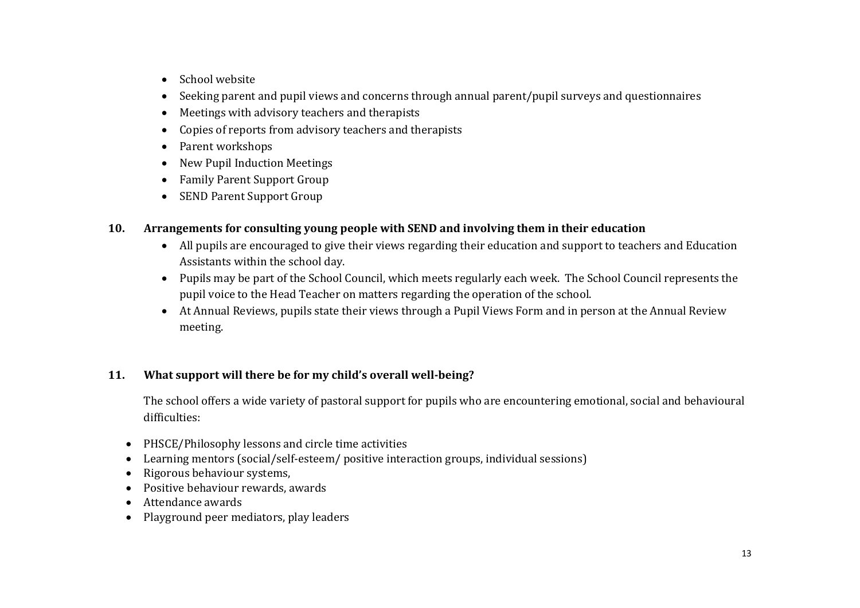- School website
- $\bullet$ Seeking parent and pupil views and concerns through annual parent/pupil surveys and questionnaires
- Meetings with advisory teachers and therapists
- Copies of reports from advisory teachers and therapists
- Parent workshops
- New Pupil Induction Meetings
- Family Parent Support Group
- SEND Parent Support Group

### **10.Arrangements for consulting young people with SEND and involving them in their education**

- All pupils are encouraged to give their views regarding their education and support to teachers and Education Assistants within the school day.
- Pupils may be part of the School Council, which meets regularly each week. The School Council represents the pupil voice to the Head Teacher on matters regarding the operation of the school.
- At Annual Reviews, pupils state their views through a Pupil Views Form and in person at the Annual Review meeting.

### **11.What support will there be for my child's overall well‐being?**

The school offers a wide variety of pastoral support for pupils who are encountering emotional, social and behavioural difficulties: 

- PHSCE/Philosophy lessons and circle time activities
- Learning mentors (social/self-esteem/ positive interaction groups, individual sessions)
- Rigorous behaviour systems,
- Positive behaviour rewards, awards
- Attendance awards
- Playground peer mediators, play leaders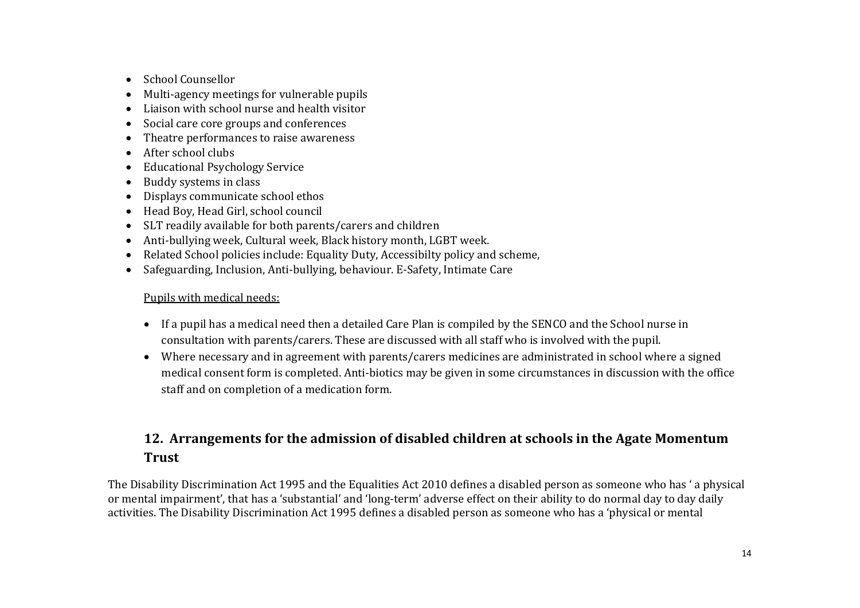- School Counsellor
- Multi-agency meetings for vulnerable pupils
- $\bullet$  Liaison with school nurse and health visitor
- Social care core groups and conferences
- Theatre performances to raise awareness
- After school clubs
- Educational Psychology Service
- Buddy systems in class
- Displays communicate school ethos
- Head Boy, Head Girl, school council
- SLT readily available for both parents/carers and children
- Anti-bullying week, Cultural week, Black history month, LGBT week.
- Related School policies include: Equality Duty, Accessibilty policy and scheme,
- Safeguarding, Inclusion, Anti-bullying, behaviour. E-Safety, Intimate Care

### Pupils with medical needs:

- If a pupil has a medical need then a detailed Care Plan is compiled by the SENCO and the School nurse in consultation with parents/carers. These are discussed with all staff who is involved with the pupil.
- Where necessary and in agreement with parents/carers medicines are administrated in school where a signed medical consent form is completed. Anti-biotics may be given in some circumstances in discussion with the office staff and on completion of a medication form.

# **12. Arrangements for the admission of disabled children at schools in the Agate Momentum Trust**

The Disability Discrimination Act 1995 and the Equalities Act 2010 defines a disabled person as someone who has 'a physical or mental impairment', that has a 'substantial' and 'long-term' adverse effect on their ability to do normal day to day daily activities. The Disability Discrimination Act 1995 defines a disabled person as someone who has a 'physical or mental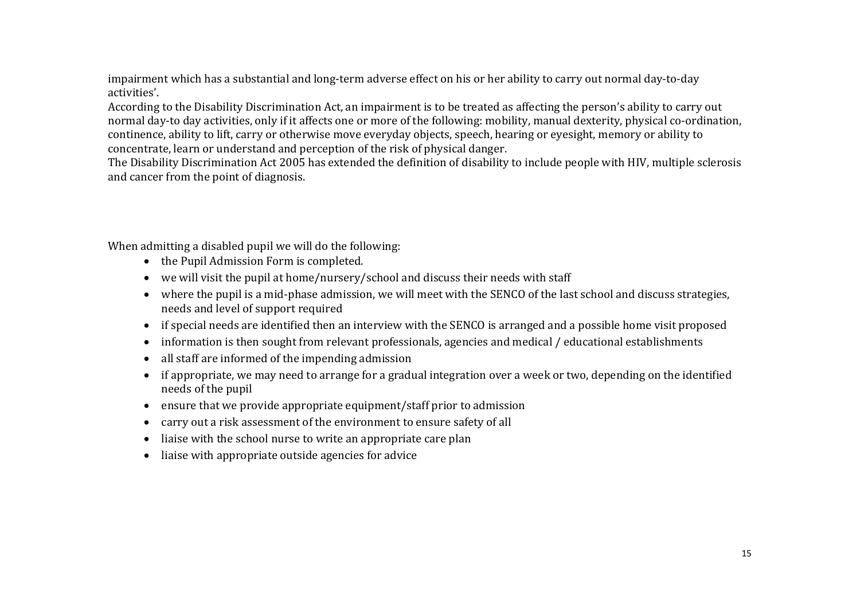impairment which has a substantial and long-term adverse effect on his or her ability to carry out normal day-to-day activities'. 

According to the Disability Discrimination Act, an impairment is to be treated as affecting the person's ability to carry out normal day-to day activities, only if it affects one or more of the following: mobility, manual dexterity, physical co-ordination, continence, ability to lift, carry or otherwise move everyday objects, speech, hearing or evesight, memory or ability to concentrate, learn or understand and perception of the risk of physical danger.

The Disability Discrimination Act 2005 has extended the definition of disability to include people with HIV, multiple sclerosis and cancer from the point of diagnosis.

When admitting a disabled pupil we will do the following:

- the Pupil Admission Form is completed.
- we will visit the pupil at home/nursery/school and discuss their needs with staff
- where the pupil is a mid-phase admission, we will meet with the SENCO of the last school and discuss strategies, needs and level of support required
- if special needs are identified then an interview with the SENCO is arranged and a possible home visit proposed
- $\bullet$ information is then sought from relevant professionals, agencies and medical / educational establishments
- $\bullet$ all staff are informed of the impending admission
- $\bullet$ if appropriate, we may need to arrange for a gradual integration over a week or two, depending on the identified needs of the pupil
- $\bullet$ ensure that we provide appropriate equipment/staff prior to admission
- $\bullet$ carry out a risk assessment of the environment to ensure safety of all
- $\bullet$ liaise with the school nurse to write an appropriate care plan
- $\bullet$ liaise with appropriate outside agencies for advice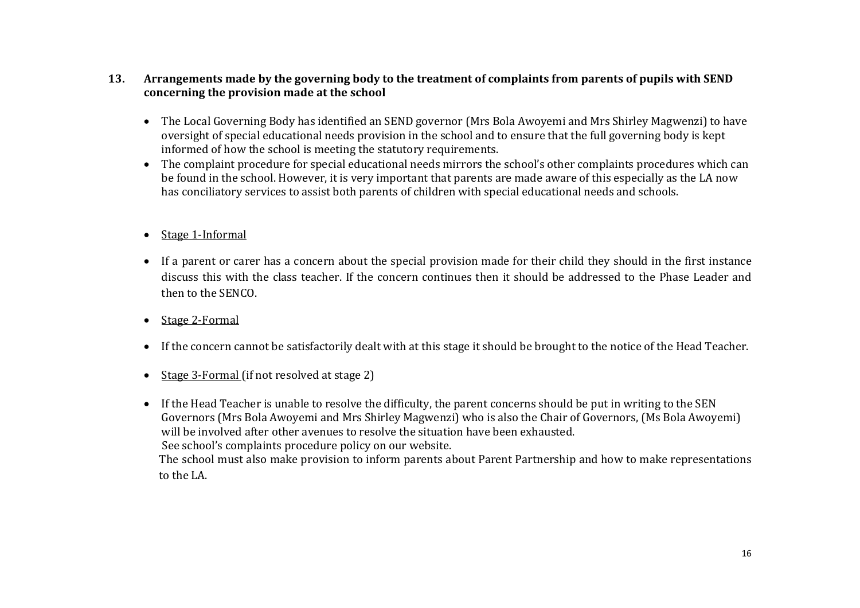### **13.**Arrangements made by the governing body to the treatment of complaints from parents of pupils with SEND **concerning the provision made at the school**

- The Local Governing Body has identified an SEND governor (Mrs Bola Awoyemi and Mrs Shirley Magwenzi) to have oversight of special educational needs provision in the school and to ensure that the full governing body is kept informed of how the school is meeting the statutory requirements.
- The complaint procedure for special educational needs mirrors the school's other complaints procedures which can be found in the school. However, it is very important that parents are made aware of this especially as the LA now has conciliatory services to assist both parents of children with special educational needs and schools.
- Stage 1-Informal
- If a parent or carer has a concern about the special provision made for their child they should in the first instance discuss this with the class teacher. If the concern continues then it should be addressed to the Phase Leader and then to the SENCO.
- Stage 2-Formal
- If the concern cannot be satisfactorily dealt with at this stage it should be brought to the notice of the Head Teacher.
- $\bullet$ Stage 3-Formal (if not resolved at stage 2)
- If the Head Teacher is unable to resolve the difficulty, the parent concerns should be put in writing to the SEN Governors (Mrs Bola Awoyemi and Mrs Shirley Magwenzi) who is also the Chair of Governors, (Ms Bola Awoyemi) will be involved after other avenues to resolve the situation have been exhausted. See school's complaints procedure policy on our website. The school must also make provision to inform parents about Parent Partnership and how to make representations

to the LA.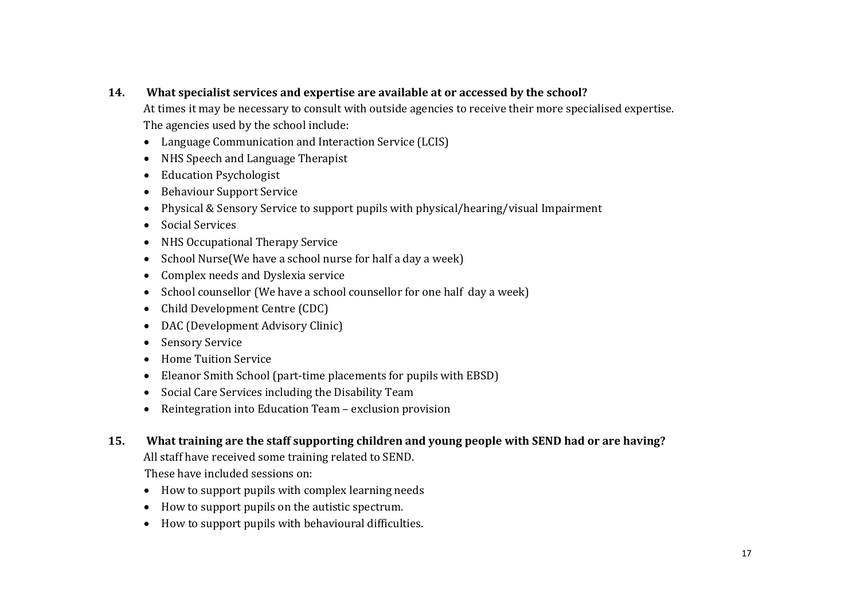### **14.What specialist services and expertise are available at or accessed by the school?**

At times it may be necessary to consult with outside agencies to receive their more specialised expertise. The agencies used by the school include:

- Language Communication and Interaction Service (LCIS)
- NHS Speech and Language Therapist
- $\bullet$ Education Psychologist
- $\bullet$ **Behaviour Support Service**
- $\bullet$ Physical & Sensory Service to support pupils with physical/hearing/visual Impairment
- $\bullet$ Social Services
- $\bullet$ NHS Occupational Therapy Service
- $\bullet$ School Nurse(We have a school nurse for half a day a week)
- $\bullet$ Complex needs and Dyslexia service
- $\bullet$ School counsellor (We have a school counsellor for one half day a week)
- $\bullet$ Child Development Centre (CDC)
- $\bullet$ DAC (Development Advisory Clinic)
- $\bullet$ Sensory Service
- $\bullet$ Home Tuition Service
- $\bullet$ Eleanor Smith School (part-time placements for pupils with EBSD)
- $\bullet$ Social Care Services including the Disability Team
- Reintegration into Education Team exclusion provision
- **15.What training are the staff supporting children and young people with SEND had or are having?**

All staff have received some training related to SEND.

These have included sessions on:

- How to support pupils with complex learning needs
- How to support pupils on the autistic spectrum.
- How to support pupils with behavioural difficulties.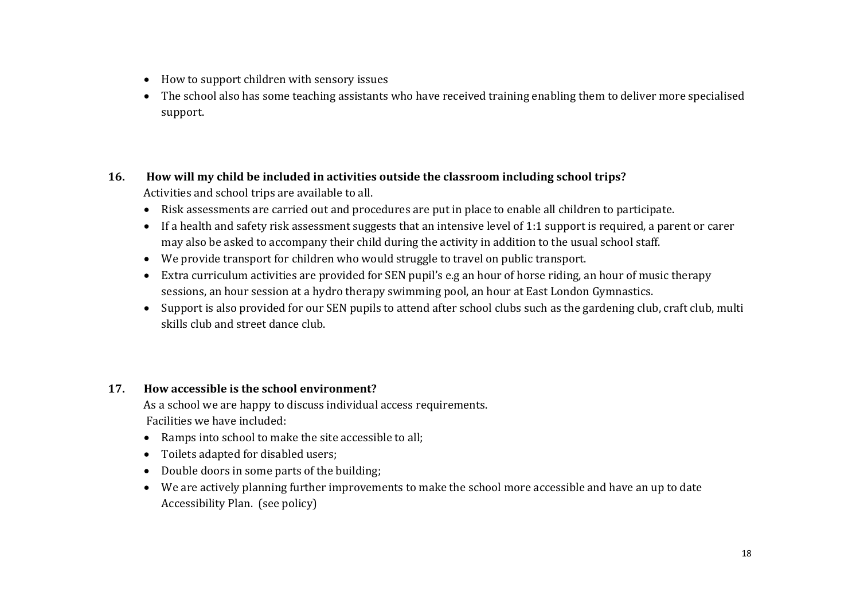- How to support children with sensory issues
- The school also has some teaching assistants who have received training enabling them to deliver more specialised support.
- **16. How will my child be included in activities outside the classroom including school trips?** Activities and school trips are available to all.
	- Risk assessments are carried out and procedures are put in place to enable all children to participate.
	- If a health and safety risk assessment suggests that an intensive level of 1:1 support is required, a parent or carer may also be asked to accompany their child during the activity in addition to the usual school staff.
	- We provide transport for children who would struggle to travel on public transport.
	- Extra curriculum activities are provided for SEN pupil's e.g an hour of horse riding, an hour of music therapy sessions, an hour session at a hydro therapy swimming pool, an hour at East London Gymnastics.
	- Support is also provided for our SEN pupils to attend after school clubs such as the gardening club, craft club, multi skills club and street dance club.

#### **17.How accessible is the school environment?**

As a school we are happy to discuss individual access requirements. Facilities we have included:

- Ramps into school to make the site accessible to all;
- Toilets adapted for disabled users;
- Double doors in some parts of the building;
- We are actively planning further improvements to make the school more accessible and have an up to date Accessibility Plan. (see policy)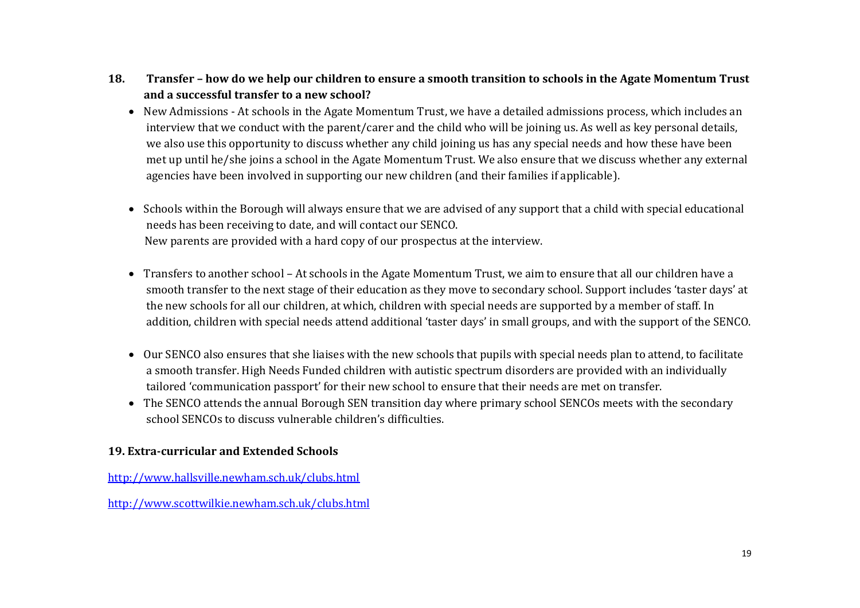### **18.**. Transfer – how do we help our children to ensure a smooth transition to schools in the Agate Momentum Trust **and <sup>a</sup> successful transfer to <sup>a</sup> new school?**

- New Admissions At schools in the Agate Momentum Trust, we have a detailed admissions process, which includes an interview that we conduct with the parent/carer and the child who will be joining us. As well as key personal details, we also use this opportunity to discuss whether any child joining us has any special needs and how these have been met up until he/she joins a school in the Agate Momentum Trust. We also ensure that we discuss whether any external agencies have been involved in supporting our new children (and their families if applicable).
- Schools within the Borough will always ensure that we are advised of any support that a child with special educational needs has been receiving to date, and will contact our SENCO. New parents are provided with a hard copy of our prospectus at the interview.
- Transfers to another school At schools in the Agate Momentum Trust, we aim to ensure that all our children have a smooth transfer to the next stage of their education as they move to secondary school. Support includes 'taster days' at the new schools for all our children, at which, children with special needs are supported by a member of staff. In addition, children with special needs attend additional 'taster days' in small groups, and with the support of the SENCO.
- Our SENCO also ensures that she liaises with the new schools that pupils with special needs plan to attend, to facilitate a smooth transfer. High Needs Funded children with autistic spectrum disorders are provided with an individually tailored 'communication passport' for their new school to ensure that their needs are met on transfer.
- The SENCO attends the annual Borough SEN transition day where primary school SENCOs meets with the secondary school SENCOs to discuss vulnerable children's difficulties

## **19. Extra‐curricular and Extended Schools**

http://www.hallsville.newham.sch.uk/clubs.html

http://www.scottwilkie.newham.sch.uk/clubs.html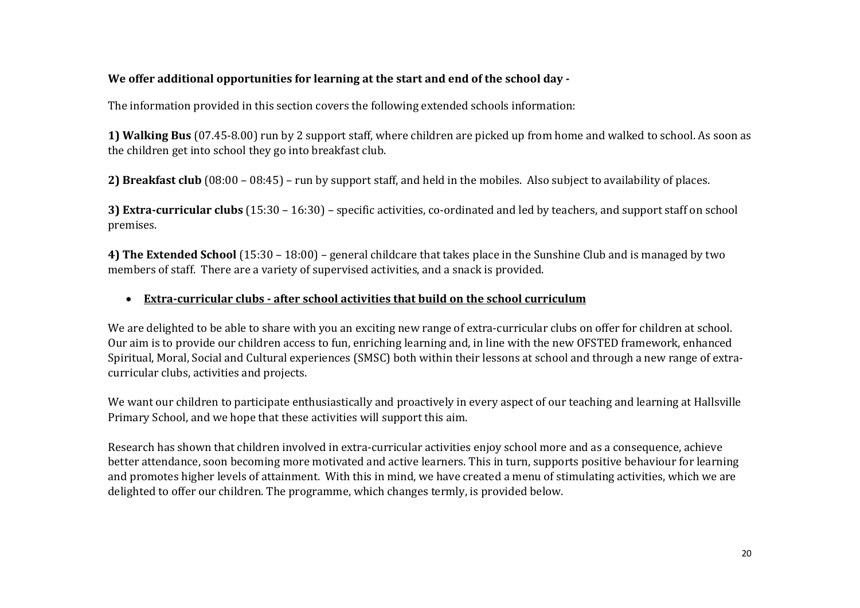## **We offer additional opportunities for learning at the start and end of the school day ‐**

The information provided in this section covers the following extended schools information:

**1)** Walking Bus (07.45-8.00) run by 2 support staff, where children are picked up from home and walked to school. As soon as the children get into school they go into breakfast club.

**2) Breakfast club** (08:00 – 08:45) – run by support staff, and held in the mobiles. Also subject to availability of places.

**3) Extra-curricular clubs** (15:30 – 16:30) – specific activities, co-ordinated and led by teachers, and support staff on school premises. 

**4) The Extended School** (15:30 – 18:00) – general childcare that takes place in the Sunshine Club and is managed by two members of staff. There are a variety of supervised activities, and a snack is provided.

## **Extra‐curricular clubs ‐ after school activities that build on the school curriculum**

We are delighted to be able to share with you an exciting new range of extra-curricular clubs on offer for children at school. Our aim is to provide our children access to fun, enriching learning and, in line with the new OFSTED framework, enhanced Spiritual, Moral, Social and Cultural experiences (SMSC) both within their lessons at school and through a new range of extracurricular clubs, activities and projects.

We want our children to participate enthusiastically and proactively in every aspect of our teaching and learning at Hallsville Primary School, and we hope that these activities will support this aim.

Research has shown that children involved in extra-curricular activities enjoy school more and as a consequence, achieve better attendance, soon becoming more motivated and active learners. This in turn, supports positive behaviour for learning and promotes higher levels of attainment. With this in mind, we have created a menu of stimulating activities, which we are delighted to offer our children. The programme, which changes termly, is provided below.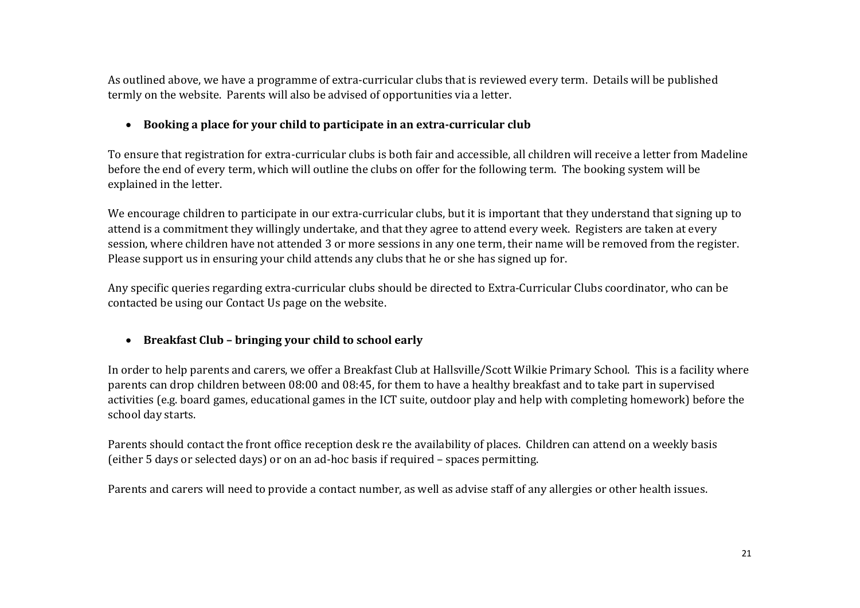As outlined above, we have a programme of extra-curricular clubs that is reviewed every term. Details will be published termly on the website. Parents will also be advised of opportunities via a letter.

## **Booking <sup>a</sup> place for your child to participate in an extra‐curricular club**

To ensure that registration for extra-curricular clubs is both fair and accessible, all children will receive a letter from Madeline before the end of every term, which will outline the clubs on offer for the following term. The booking system will be explained in the letter.

We encourage children to participate in our extra-curricular clubs, but it is important that they understand that signing up to attend is a commitment they willingly undertake, and that they agree to attend every week. Registers are taken at every session, where children have not attended 3 or more sessions in any one term, their name will be removed from the register. Please support us in ensuring your child attends any clubs that he or she has signed up for.

Any specific queries regarding extra-curricular clubs should be directed to Extra-Curricular Clubs coordinator, who can be contacted be using our Contact Us page on the website.

## **Breakfast Club – bringing your child to school early**

In order to help parents and carers, we offer a Breakfast Club at Hallsville/Scott Wilkie Primary School. This is a facility where parents can drop children between 08:00 and 08:45, for them to have a healthy breakfast and to take part in supervised activities (e.g. board games, educational games in the ICT suite, outdoor play and help with completing homework) before the school day starts.

Parents should contact the front office reception desk re the availability of places. Children can attend on a weekly basis (either 5 days or selected days) or on an ad-hoc basis if required – spaces permitting.

Parents and carers will need to provide a contact number, as well as advise staff of any allergies or other health issues.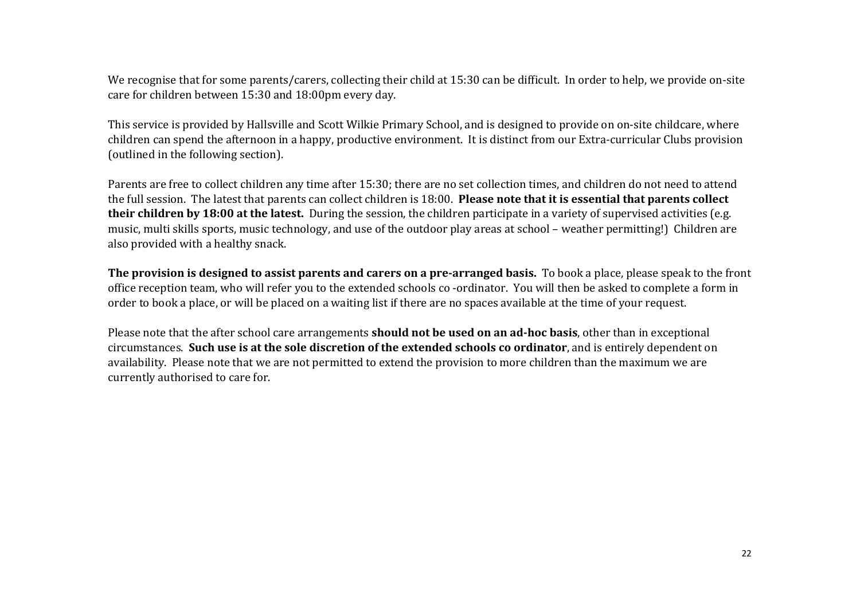We recognise that for some parents/carers, collecting their child at 15:30 can be difficult. In order to help, we provide on-site care for children between 15:30 and 18:00pm every day.

This service is provided by Hallsville and Scott Wilkie Primary School, and is designed to provide on on-site childcare, where children can spend the afternoon in a happy, productive environment. It is distinct from our Extra-curricular Clubs provision (outlined in the following section).

Parents are free to collect children any time after 15:30; there are no set collection times, and children do not need to attend the full session. The latest that parents can collect children is 18:00. **Please note that it is essential that parents collect their children by 18:00 at the latest.** During the session, the children participate in a variety of supervised activities (e.g. music, multi skills sports, music technology, and use of the outdoor play areas at school – weather permitting!) Children are also provided with a healthy snack.

The provision is designed to assist parents and carers on a pre-arranged basis. To book a place, please speak to the front office reception team, who will refer vou to the extended schools co -ordinator. You will then be asked to complete a form in order to book a place, or will be placed on a waiting list if there are no spaces available at the time of your request.

Please note that the after school care arrangements **should not be used on an ad‐hoc basis**, other than in exceptional circumstances. **Such use is at the sole discretion of the extended schools co ordinator**, and is entirely dependent on availability. Please note that we are not permitted to extend the provision to more children than the maximum we are currently authorised to care for.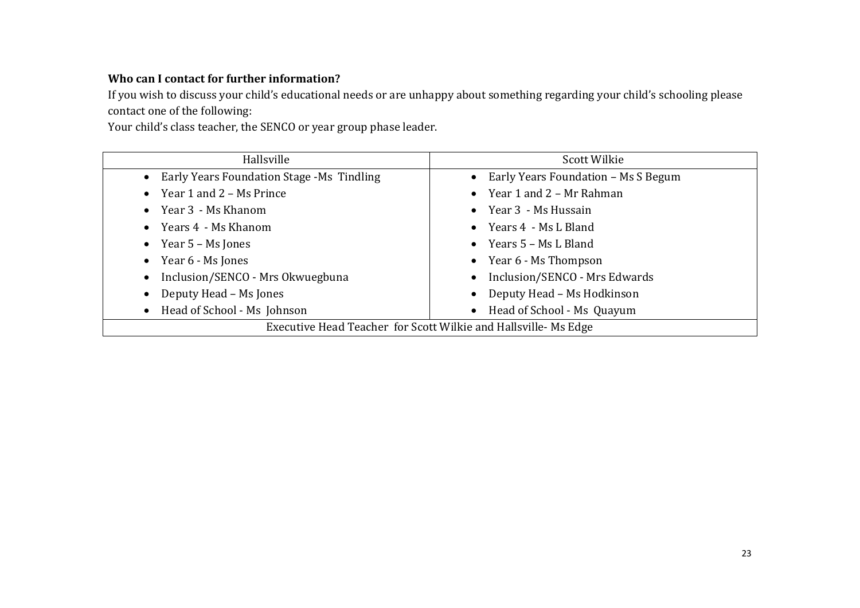## **Who can I contact for further information?**

If you wish to discuss your child's educational needs or are unhappy about something regarding your child's schooling please contact one of the following:

Your child's class teacher, the SENCO or year group phase leader.

| Hallsville                                                      | <b>Scott Wilkie</b>                   |  |
|-----------------------------------------------------------------|---------------------------------------|--|
| • Early Years Foundation Stage -Ms Tindling                     | • Early Years Foundation - Ms S Begum |  |
| • Year 1 and $2 - Ms$ Prince                                    | • Year 1 and $2 - Mr Rahman$          |  |
| • Year 3 - Ms Khanom                                            | • Year $3$ - Ms Hussain               |  |
| • Years 4 - Ms Khanom                                           | • Years $4$ - Ms L Bland              |  |
| • Year $5 - Ms$ Jones                                           | • Years $5 - Ms$ L Bland              |  |
| • Year $6$ - Ms Jones                                           | • Year 6 - Ms Thompson                |  |
| Inclusion/SENCO - Mrs Okwuegbuna<br>$\bullet$                   | Inclusion/SENCO - Mrs Edwards         |  |
| Deputy Head - Ms Jones<br>$\bullet$                             | Deputy Head - Ms Hodkinson            |  |
| • Head of School - Ms Johnson                                   | Head of School - Ms Quayum            |  |
| Executive Head Teacher for Scott Wilkie and Hallsville- Ms Edge |                                       |  |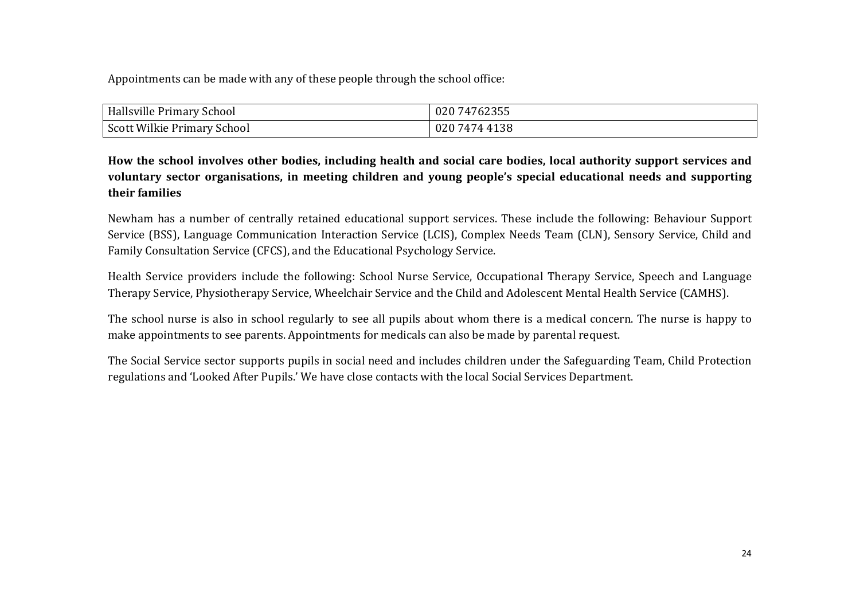Appointments can be made with any of these people through the school office:

| Hallsville Primary School   | 020 74762355  |
|-----------------------------|---------------|
| Scott Wilkie Primary School | 020 7474 4138 |

How the school involves other bodies, including health and social care bodies, local authority support services and **voluntary sector organisations, in meeting children and young people's special educational needs and supporting their families**

Newham has a number of centrally retained educational support services. These include the following: Behaviour Support Service (BSS), Language Communication Interaction Service (LCIS), Complex Needs Team (CLN), Sensory Service, Child and Family Consultation Service (CFCS), and the Educational Psychology Service.

Health Service providers include the following: School Nurse Service, Occupational Therapy Service, Speech and Language Therapy Service, Physiotherapy Service, Wheelchair Service and the Child and Adolescent Mental Health Service (CAMHS).

The school nurse is also in school regularly to see all pupils about whom there is a medical concern. The nurse is happy to make appointments to see parents. Appointments for medicals can also be made by parental request.

The Social Service sector supports pupils in social need and includes children under the Safeguarding Team, Child Protection regulations and 'Looked After Pupils.' We have close contacts with the local Social Services Department.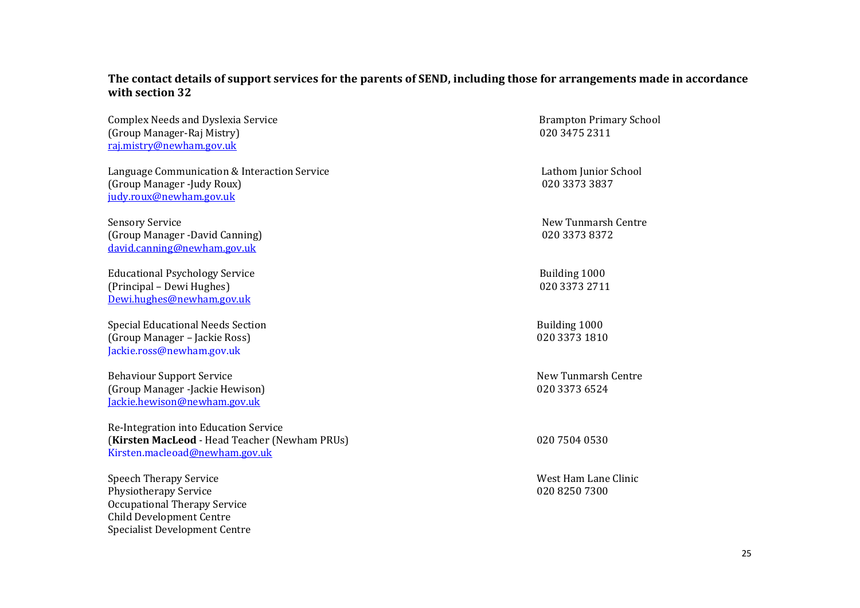### The contact details of support services for the parents of SEND, including those for arrangements made in accordance **with section 32**

Complex Needs and Dyslexia Service *Network Complex Needs* and Dyslexia Service *Network Complex Needs* and Dyslexia Service *Network Complex Needs* and Dyslexia Service *Network Complex Needs* and Dyslexia Service (Group Manager‐Raj Mistry) 020 3475 2311 raj.mistry@newham.gov.uk 

Language Communication & Interaction Service Lathom Junior School (Group Manager ‐Judy Roux) 020 3373 3837 judy.roux@newham.gov.uk 

Sensory Service New Tunmarsh Centre (Group Manager ‐David Canning) 020 3373 8372 david.canning@newham.gov.uk 

Educational Psychology Service Building 1000 (Principal – Dewi Hughes) 020 3373 2711 Dewi.hughes@newham.gov.uk 

Special Educational Needs Section Building 1000 (Group Manager – Jackie Ross) 020 3373 1810 Jackie.ross@newham.gov.uk 

Behaviour Support Service **and Computer Computer Computer Computer** Service **Computer Computer Computer Computer** Service **Computer Computer Computer Computer** Service **Computer Computer Computer** Service **Computer Compute** (Group Manager ‐Jackie Hewison) 020 3373 6524 Jackie.hewison@newham.gov.uk 

Re-Integration into Education Service (**Kirsten MacLeod** ‐ Head Teacher (Newham PRUs) 020 7504 0530 Kirsten.macleoad@newham.gov.uk 

Speech Therapy Service **and Computer Computer Computer Computer Computer Computer Computer Computer Computer Computer Computer Computer Computer Computer Computer Computer Computer Computer Computer Computer Computer Compu** Physiotherapy Service 020 8250 7300 Occupational Therapy Service Child Development Centre Specialist Development Centre